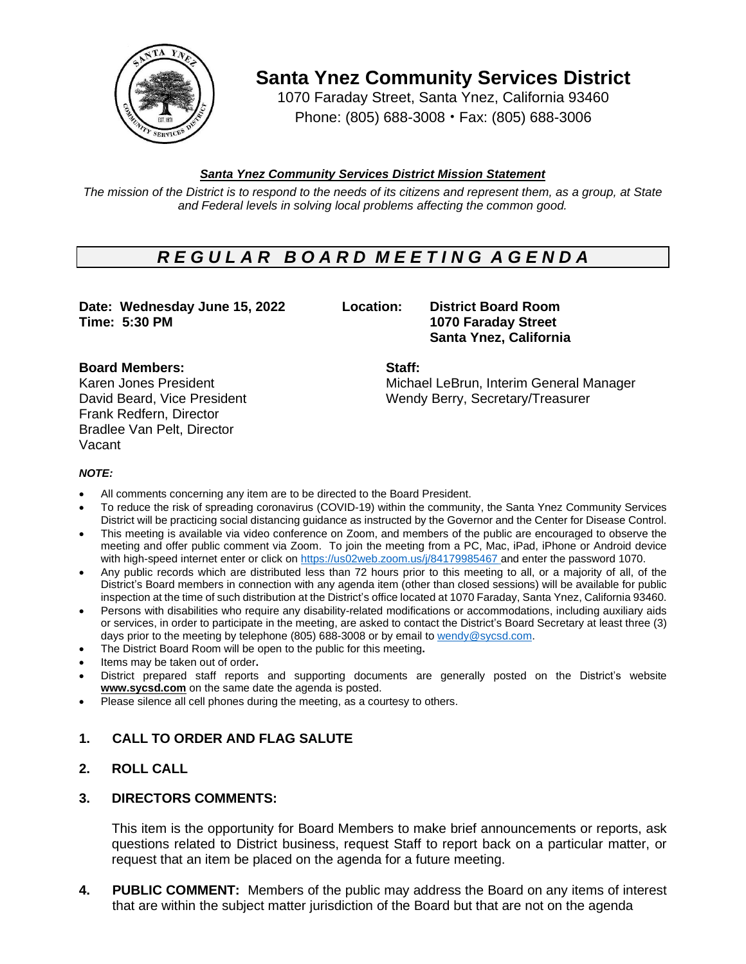

**Santa Ynez Community Services District**

1070 Faraday Street, Santa Ynez, California 93460 Phone: (805) 688-3008 • Fax: (805) 688-3006

# *Santa Ynez Community Services District Mission Statement*

The mission of the District is to respond to the needs of its citizens and represent them, as a group, at State *and Federal levels in solving local problems affecting the common good.*

# *R E G U L A R B O A R D M E E T I N G A G E N D A*

**Date: Wednesday June 15, 2022 Location: District Board Room Time: 5:30 PM 1070 Faraday Street**

**Santa Ynez, California**

Karen Jones President Michael LeBrun, Interim General Manager David Beard, Vice President Wendy Berry, Secretary/Treasurer

### **Board Members: Staff:**

Frank Redfern, Director Bradlee Van Pelt, Director Vacant

#### *NOTE:*

- All comments concerning any item are to be directed to the Board President.
- To reduce the risk of spreading coronavirus (COVID-19) within the community, the Santa Ynez Community Services District will be practicing social distancing guidance as instructed by the Governor and the Center for Disease Control.
- This meeting is available via video conference on Zoom, and members of the public are encouraged to observe the meeting and offer public comment via Zoom. To join the meeting from a PC, Mac, iPad, iPhone or Android device with high-speed internet enter or click on [https://us02web.zoom.us/j/8](https://us02web.zoom.us/j/)4179985467 and enter the password 1070.
- Any public records which are distributed less than 72 hours prior to this meeting to all, or a majority of all, of the District's Board members in connection with any agenda item (other than closed sessions) will be available for public inspection at the time of such distribution at the District's office located at 1070 Faraday, Santa Ynez, California 93460.
- Persons with disabilities who require any disability-related modifications or accommodations, including auxiliary aids or services, in order to participate in the meeting, are asked to contact the District's Board Secretary at least three (3) days prior to the meeting by telephone (805) 688-3008 or by email to [wendy@sycsd.com.](mailto:wendy@sycsd.com)
- The District Board Room will be open to the public for this meeting**.**
- Items may be taken out of order**.**
- District prepared staff reports and supporting documents are generally posted on the District's website **[www.sycsd.com](http://www.sycsd.com/)** on the same date the agenda is posted.
- Please silence all cell phones during the meeting, as a courtesy to others.

# **1. CALL TO ORDER AND FLAG SALUTE**

# **2. ROLL CALL**

# **3. DIRECTORS COMMENTS:**

This item is the opportunity for Board Members to make brief announcements or reports, ask questions related to District business, request Staff to report back on a particular matter, or request that an item be placed on the agenda for a future meeting.

**4. PUBLIC COMMENT:** Members of the public may address the Board on any items of interest that are within the subject matter jurisdiction of the Board but that are not on the agenda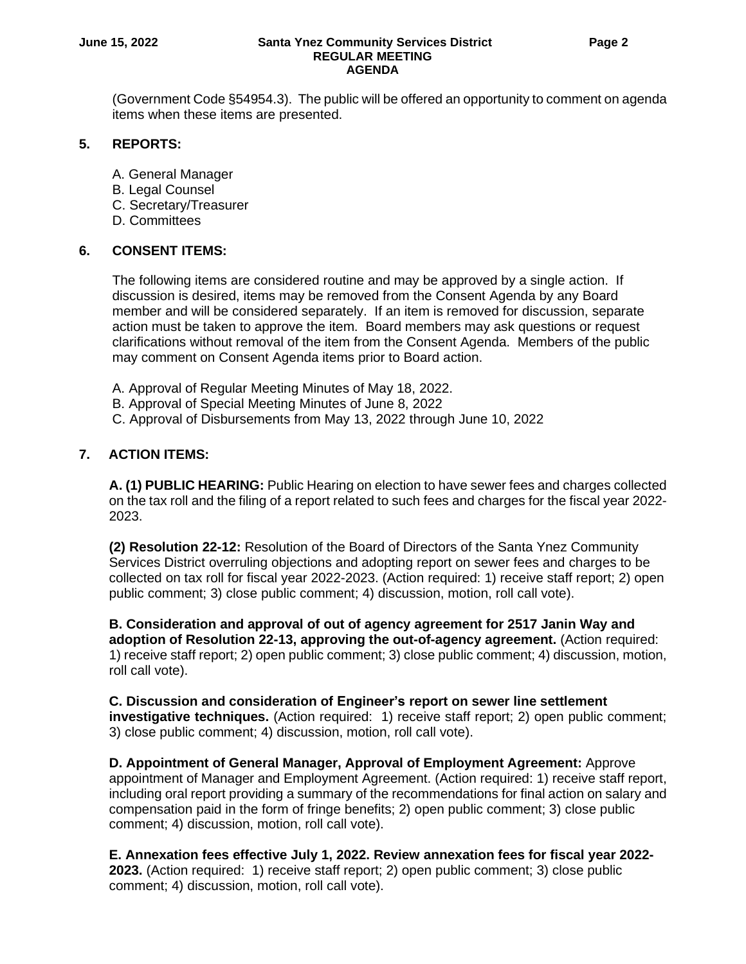#### **June 15, 2022 Santa Ynez Community Services District Page 2 REGULAR MEETING AGENDA**

(Government Code §54954.3). The public will be offered an opportunity to comment on agenda items when these items are presented.

#### **5. REPORTS:**

- A. General Manager
- B. Legal Counsel
- C. Secretary/Treasurer
- D. Committees

#### **6. CONSENT ITEMS:**

The following items are considered routine and may be approved by a single action. If discussion is desired, items may be removed from the Consent Agenda by any Board member and will be considered separately. If an item is removed for discussion, separate action must be taken to approve the item. Board members may ask questions or request clarifications without removal of the item from the Consent Agenda. Members of the public may comment on Consent Agenda items prior to Board action.

- A. Approval of Regular Meeting Minutes of May 18, 2022.
- B. Approval of Special Meeting Minutes of June 8, 2022
- C. Approval of Disbursements from May 13, 2022 through June 10, 2022

### **7. ACTION ITEMS:**

**A. (1) PUBLIC HEARING:** Public Hearing on election to have sewer fees and charges collected on the tax roll and the filing of a report related to such fees and charges for the fiscal year 2022- 2023.

**(2) Resolution 22-12:** Resolution of the Board of Directors of the Santa Ynez Community Services District overruling objections and adopting report on sewer fees and charges to be collected on tax roll for fiscal year 2022-2023. (Action required: 1) receive staff report; 2) open public comment; 3) close public comment; 4) discussion, motion, roll call vote).

**B. Consideration and approval of out of agency agreement for 2517 Janin Way and adoption of Resolution 22-13, approving the out-of-agency agreement.** (Action required: 1) receive staff report; 2) open public comment; 3) close public comment; 4) discussion, motion, roll call vote).

**C. Discussion and consideration of Engineer's report on sewer line settlement investigative techniques.** (Action required: 1) receive staff report; 2) open public comment; 3) close public comment; 4) discussion, motion, roll call vote).

**D. Appointment of General Manager, Approval of Employment Agreement:** Approve appointment of Manager and Employment Agreement. (Action required: 1) receive staff report, including oral report providing a summary of the recommendations for final action on salary and compensation paid in the form of fringe benefits; 2) open public comment; 3) close public comment; 4) discussion, motion, roll call vote).

**E. Annexation fees effective July 1, 2022. Review annexation fees for fiscal year 2022- 2023.** (Action required: 1) receive staff report; 2) open public comment; 3) close public comment; 4) discussion, motion, roll call vote).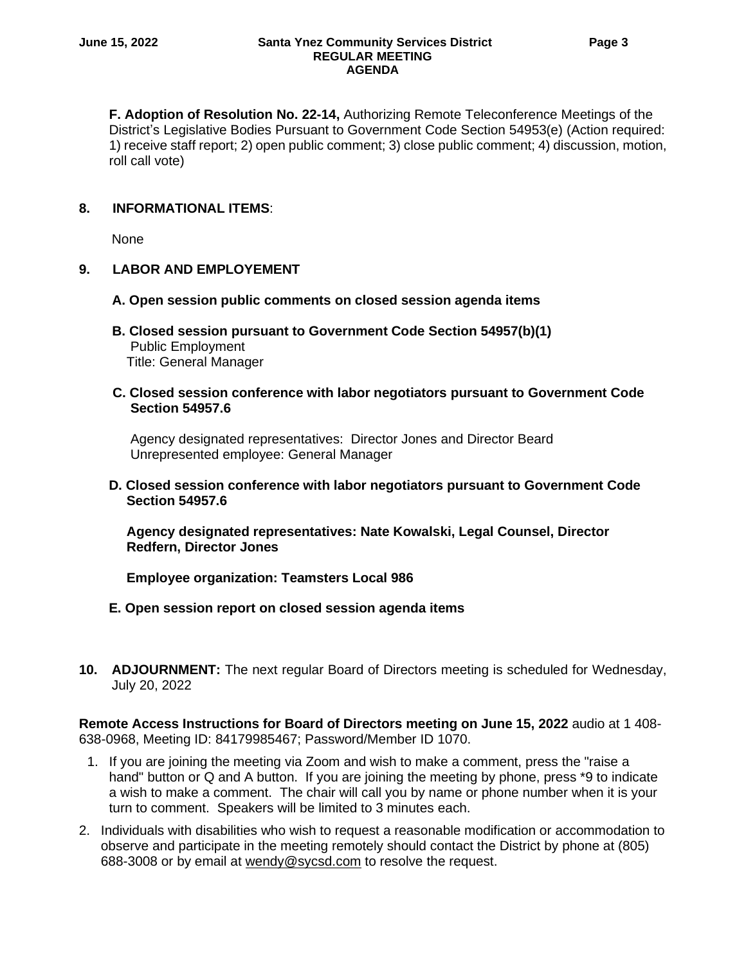**F. Adoption of Resolution No. 22-14,** Authorizing Remote Teleconference Meetings of the District's Legislative Bodies Pursuant to Government Code Section 54953(e) (Action required: 1) receive staff report; 2) open public comment; 3) close public comment; 4) discussion, motion, roll call vote)

### **8. INFORMATIONAL ITEMS**:

None

#### **9. LABOR AND EMPLOYEMENT**

- **A. Open session public comments on closed session agenda items**
- **B. Closed session pursuant to Government Code Section 54957(b)(1)** Public Employment Title: General Manager

#### **C. Closed session conference with labor negotiators pursuant to Government Code Section 54957.6**

 Agency designated representatives: Director Jones and Director Beard Unrepresented employee: General Manager

#### **D. Closed session conference with labor negotiators pursuant to Government Code Section 54957.6**

**Agency designated representatives: Nate Kowalski, Legal Counsel, Director Redfern, Director Jones**

**Employee organization: Teamsters Local 986**

#### **E. Open session report on closed session agenda items**

**10. ADJOURNMENT:** The next regular Board of Directors meeting is scheduled for Wednesday, July 20, 2022

**Remote Access Instructions for Board of Directors meeting on June 15, 2022** audio at 1 408- 638-0968, Meeting ID: 84179985467; Password/Member ID 1070.

- 1. If you are joining the meeting via Zoom and wish to make a comment, press the "raise a hand" button or Q and A button. If you are joining the meeting by phone, press \*9 to indicate a wish to make a comment. The chair will call you by name or phone number when it is your turn to comment. Speakers will be limited to 3 minutes each.
- 2. Individuals with disabilities who wish to request a reasonable modification or accommodation to observe and participate in the meeting remotely should contact the District by phone at (805) 688-3008 or by email at [wendy@sycsd.com](mailto:wendy@sycsd.com) to resolve the request.